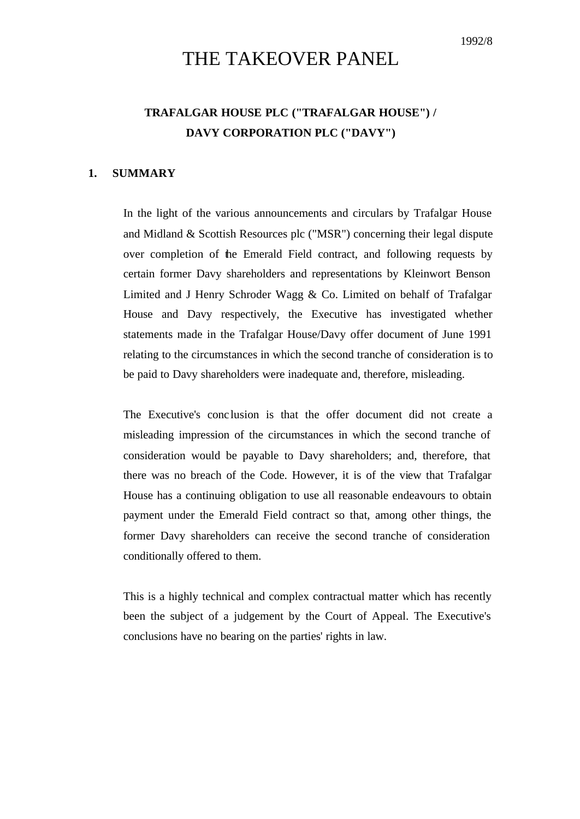# THE TAKEOVER PANEL

## **TRAFALGAR HOUSE PLC ("TRAFALGAR HOUSE") / DAVY CORPORATION PLC ("DAVY")**

#### **1. SUMMARY**

In the light of the various announcements and circulars by Trafalgar House and Midland & Scottish Resources plc ("MSR") concerning their legal dispute over completion of the Emerald Field contract, and following requests by certain former Davy shareholders and representations by Kleinwort Benson Limited and J Henry Schroder Wagg  $\&$  Co. Limited on behalf of Trafalgar House and Davy respectively, the Executive has investigated whether statements made in the Trafalgar House/Davy offer document of June 1991 relating to the circumstances in which the second tranche of consideration is to be paid to Davy shareholders were inadequate and, therefore, misleading.

The Executive's conc lusion is that the offer document did not create a misleading impression of the circumstances in which the second tranche of consideration would be payable to Davy shareholders; and, therefore, that there was no breach of the Code. However, it is of the view that Trafalgar House has a continuing obligation to use all reasonable endeavours to obtain payment under the Emerald Field contract so that, among other things, the former Davy shareholders can receive the second tranche of consideration conditionally offered to them.

This is a highly technical and complex contractual matter which has recently been the subject of a judgement by the Court of Appeal. The Executive's conclusions have no bearing on the parties' rights in law.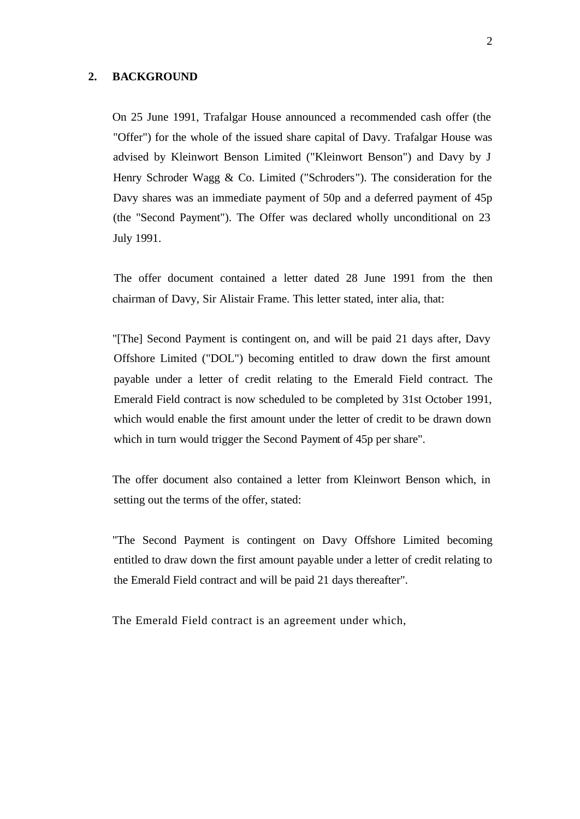#### **2. BACKGROUND**

On 25 June 1991, Trafalgar House announced a recommended cash offer (the "Offer") for the whole of the issued share capital of Davy. Trafalgar House was advised by Kleinwort Benson Limited ("Kleinwort Benson") and Davy by J Henry Schroder Wagg & Co. Limited ("Schroders"). The consideration for the Davy shares was an immediate payment of 50p and a deferred payment of 45p (the "Second Payment"). The Offer was declared wholly unconditional on 23 July 1991.

The offer document contained a letter dated 28 June 1991 from the then chairman of Davy, Sir Alistair Frame. This letter stated, inter alia, that:

"[The] Second Payment is contingent on, and will be paid 21 days after, Davy Offshore Limited ("DOL") becoming entitled to draw down the first amount payable under a letter of credit relating to the Emerald Field contract. The Emerald Field contract is now scheduled to be completed by 31st October 1991, which would enable the first amount under the letter of credit to be drawn down which in turn would trigger the Second Payment of 45p per share".

The offer document also contained a letter from Kleinwort Benson which, in setting out the terms of the offer, stated:

"The Second Payment is contingent on Davy Offshore Limited becoming entitled to draw down the first amount payable under a letter of credit relating to the Emerald Field contract and will be paid 21 days thereafter".

The Emerald Field contract is an agreement under which,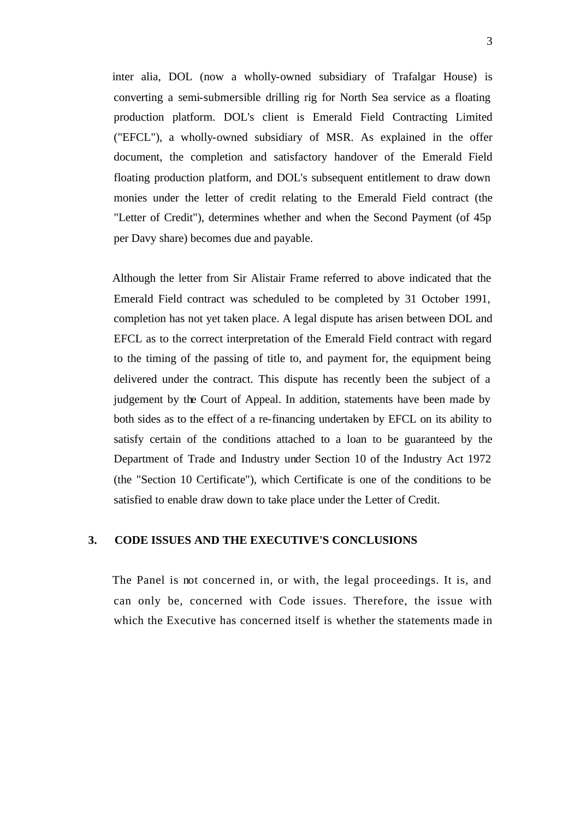inter alia, DOL (now a wholly-owned subsidiary of Trafalgar House) is converting a semi-submersible drilling rig for North Sea service as a floating production platform. DOL's client is Emerald Field Contracting Limited ("EFCL"), a wholly-owned subsidiary of MSR. As explained in the offer document, the completion and satisfactory handover of the Emerald Field floating production platform, and DOL's subsequent entitlement to draw down monies under the letter of credit relating to the Emerald Field contract (the "Letter of Credit"), determines whether and when the Second Payment (of 45p per Davy share) becomes due and payable.

Although the letter from Sir Alistair Frame referred to above indicated that the Emerald Field contract was scheduled to be completed by 31 October 1991, completion has not yet taken place. A legal dispute has arisen between DOL and EFCL as to the correct interpretation of the Emerald Field contract with regard to the timing of the passing of title to, and payment for, the equipment being delivered under the contract. This dispute has recently been the subject of a judgement by the Court of Appeal. In addition, statements have been made by both sides as to the effect of a re-financing undertaken by EFCL on its ability to satisfy certain of the conditions attached to a loan to be guaranteed by the Department of Trade and Industry under Section 10 of the Industry Act 1972 (the "Section 10 Certificate"), which Certificate is one of the conditions to be satisfied to enable draw down to take place under the Letter of Credit.

## **3. CODE ISSUES AND THE EXECUTIVE'S CONCLUSIONS**

The Panel is not concerned in, or with, the legal proceedings. It is, and can only be, concerned with Code issues. Therefore, the issue with which the Executive has concerned itself is whether the statements made in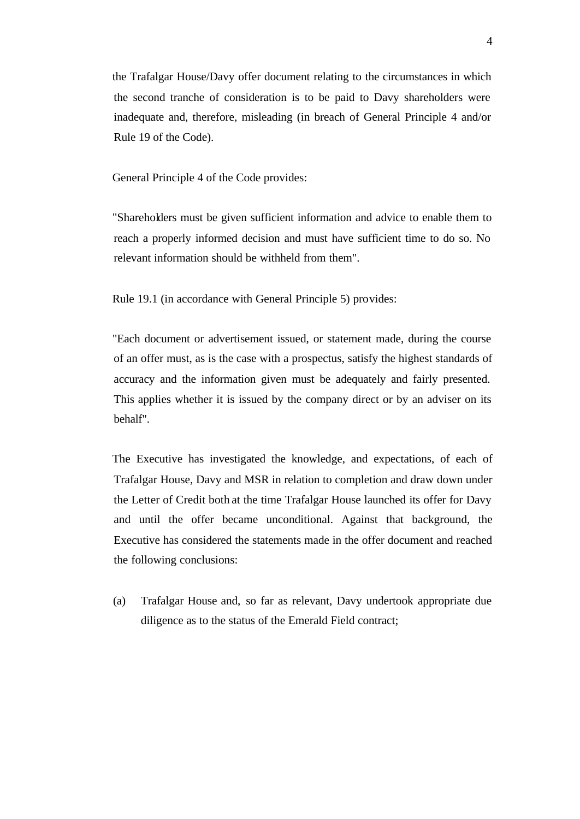the Trafalgar House/Davy offer document relating to the circumstances in which the second tranche of consideration is to be paid to Davy shareholders were inadequate and, therefore, misleading (in breach of General Principle 4 and/or Rule 19 of the Code).

General Principle 4 of the Code provides:

"Shareholders must be given sufficient information and advice to enable them to reach a properly informed decision and must have sufficient time to do so. No relevant information should be withheld from them".

Rule 19.1 (in accordance with General Principle 5) provides:

"Each document or advertisement issued, or statement made, during the course of an offer must, as is the case with a prospectus, satisfy the highest standards of accuracy and the information given must be adequately and fairly presented. This applies whether it is issued by the company direct or by an adviser on its behalf".

The Executive has investigated the knowledge, and expectations, of each of Trafalgar House, Davy and MSR in relation to completion and draw down under the Letter of Credit both at the time Trafalgar House launched its offer for Davy and until the offer became unconditional. Against that background, the Executive has considered the statements made in the offer document and reached the following conclusions:

(a) Trafalgar House and, so far as relevant, Davy undertook appropriate due diligence as to the status of the Emerald Field contract;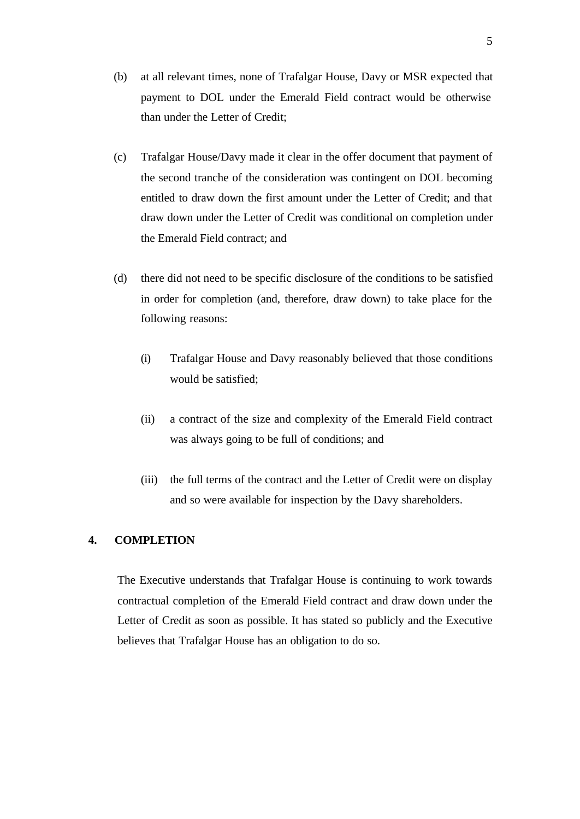- (b) at all relevant times, none of Trafalgar House, Davy or MSR expected that payment to DOL under the Emerald Field contract would be otherwise than under the Letter of Credit;
- (c) Trafalgar House/Davy made it clear in the offer document that payment of the second tranche of the consideration was contingent on DOL becoming entitled to draw down the first amount under the Letter of Credit; and that draw down under the Letter of Credit was conditional on completion under the Emerald Field contract; and
- (d) there did not need to be specific disclosure of the conditions to be satisfied in order for completion (and, therefore, draw down) to take place for the following reasons:
	- (i) Trafalgar House and Davy reasonably believed that those conditions would be satisfied;
	- (ii) a contract of the size and complexity of the Emerald Field contract was always going to be full of conditions; and
	- (iii) the full terms of the contract and the Letter of Credit were on display and so were available for inspection by the Davy shareholders.

### **4. COMPLETION**

The Executive understands that Trafalgar House is continuing to work towards contractual completion of the Emerald Field contract and draw down under the Letter of Credit as soon as possible. It has stated so publicly and the Executive believes that Trafalgar House has an obligation to do so.